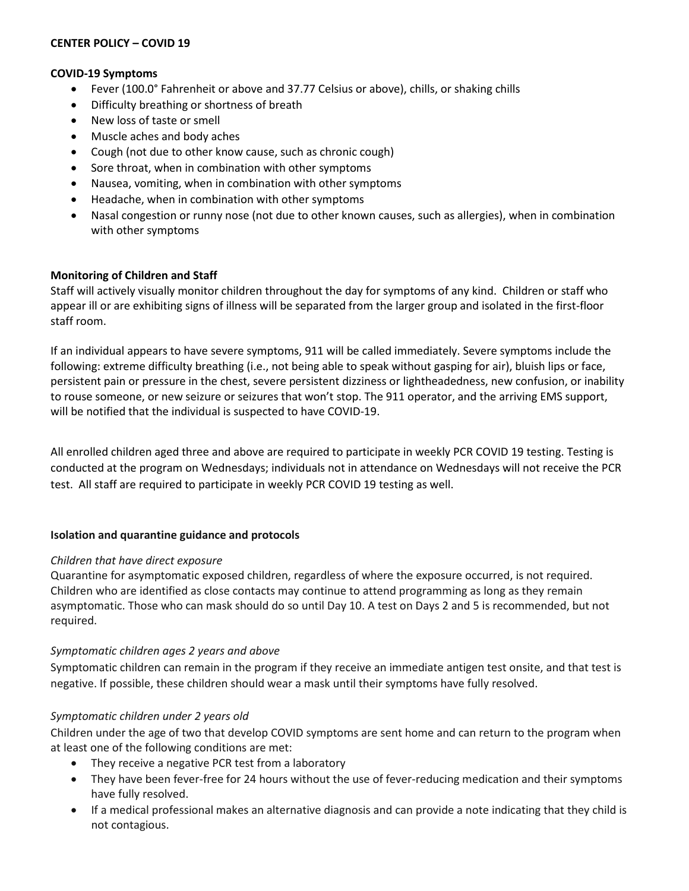## **CENTER POLICY – COVID 19**

## **COVID-19 Symptoms**

- Fever (100.0° Fahrenheit or above and 37.77 Celsius or above), chills, or shaking chills
- Difficulty breathing or shortness of breath
- New loss of taste or smell
- Muscle aches and body aches
- Cough (not due to other know cause, such as chronic cough)
- Sore throat, when in combination with other symptoms
- Nausea, vomiting, when in combination with other symptoms
- Headache, when in combination with other symptoms
- Nasal congestion or runny nose (not due to other known causes, such as allergies), when in combination with other symptoms

# **Monitoring of Children and Staff**

Staff will actively visually monitor children throughout the day for symptoms of any kind. Children or staff who appear ill or are exhibiting signs of illness will be separated from the larger group and isolated in the first-floor staff room.

If an individual appears to have severe symptoms, 911 will be called immediately. Severe symptoms include the following: extreme difficulty breathing (i.e., not being able to speak without gasping for air), bluish lips or face, persistent pain or pressure in the chest, severe persistent dizziness or lightheadedness, new confusion, or inability to rouse someone, or new seizure or seizures that won't stop. The 911 operator, and the arriving EMS support, will be notified that the individual is suspected to have COVID-19.

All enrolled children aged three and above are required to participate in weekly PCR COVID 19 testing. Testing is conducted at the program on Wednesdays; individuals not in attendance on Wednesdays will not receive the PCR test. All staff are required to participate in weekly PCR COVID 19 testing as well.

## **Isolation and quarantine guidance and protocols**

## *Children that have direct exposure*

Quarantine for asymptomatic exposed children, regardless of where the exposure occurred, is not required. Children who are identified as close contacts may continue to attend programming as long as they remain asymptomatic. Those who can mask should do so until Day 10. A test on Days 2 and 5 is recommended, but not required.

## *Symptomatic children ages 2 years and above*

Symptomatic children can remain in the program if they receive an immediate antigen test onsite, and that test is negative. If possible, these children should wear a mask until their symptoms have fully resolved.

## *Symptomatic children under 2 years old*

Children under the age of two that develop COVID symptoms are sent home and can return to the program when at least one of the following conditions are met:

- They receive a negative PCR test from a laboratory
- They have been fever-free for 24 hours without the use of fever-reducing medication and their symptoms have fully resolved.
- If a medical professional makes an alternative diagnosis and can provide a note indicating that they child is not contagious.